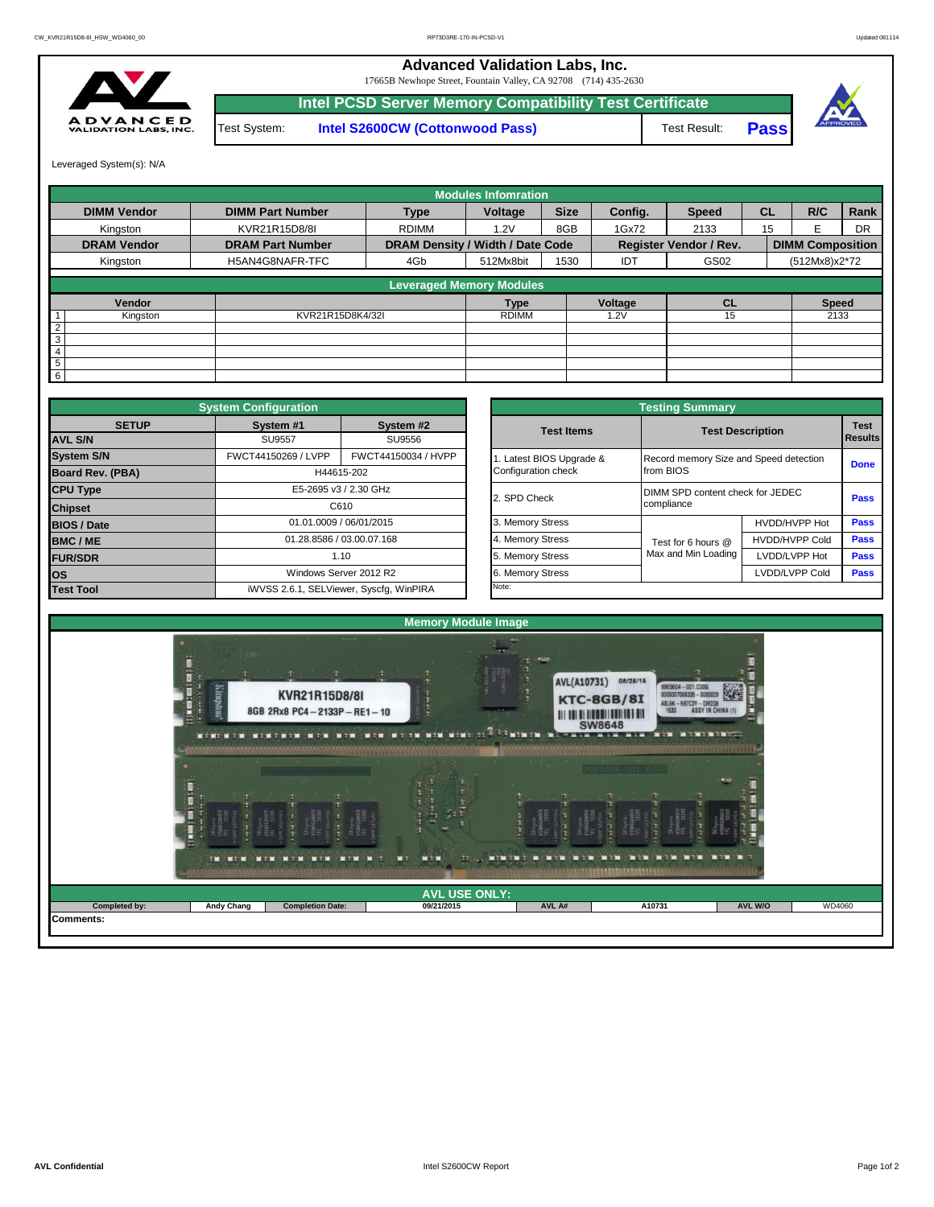**Advanced Validation Labs, Inc.** 

17665B Newhope Street, Fountain Valley, CA 92708 (714) 435-2630



Test System: **Intel S2600CW (Cottonwood Pass) Intel PCSD Server Memory Compatibility Test Certificate**





Leveraged System(s): N/A

|                    |                         |                                  | <b>Modules Infomration</b> |             |         |                               |           |                         |             |
|--------------------|-------------------------|----------------------------------|----------------------------|-------------|---------|-------------------------------|-----------|-------------------------|-------------|
| <b>DIMM Vendor</b> | <b>DIMM Part Number</b> | <b>Type</b>                      | Voltage                    | <b>Size</b> | Config. | <b>Speed</b>                  | <b>CL</b> | R/C                     | <b>Rank</b> |
| Kinaston           | KVR21R15D8/8I           | <b>RDIMM</b>                     | 1.2V                       | 8GB         | 1Gx72   | 2133                          | 15        |                         | DR          |
| <b>DRAM Vendor</b> | <b>DRAM Part Number</b> | DRAM Density / Width / Date Code |                            |             |         | <b>Register Vendor / Rev.</b> |           | <b>DIMM Composition</b> |             |
| Kingston           | H5AN4G8NAFR-TFC         | 4Gb                              | 512Mx8bit                  | 1530        | IDT     | GS02                          |           | (512Mx8)x2*72           |             |
|                    |                         | <b>Leveraged Memory Modules</b>  |                            |             |         |                               |           |                         |             |
| Vendor             |                         |                                  | <b>Type</b>                |             | Voltage | <b>CL</b>                     |           | <b>Speed</b>            |             |
| Kingston           | KVR21R15D8K4/32I        |                                  | <b>RDIMM</b>               |             | .2V     | 15                            |           | 2133                    |             |
| $\overline{2}$     |                         |                                  |                            |             |         |                               |           |                         |             |
| ω                  |                         |                                  |                            |             |         |                               |           |                         |             |
| $\overline{4}$     |                         |                                  |                            |             |         |                               |           |                         |             |
| 5                  |                         |                                  |                            |             |         |                               |           |                         |             |
| 6                  |                         |                                  |                            |             |         |                               |           |                         |             |

|                    | <b>System Configuration</b> |                                         |                       | <b>Testing Summary</b>                 |                         |                        |  |  |
|--------------------|-----------------------------|-----------------------------------------|-----------------------|----------------------------------------|-------------------------|------------------------|--|--|
| <b>SETUP</b>       | System #1                   | System #2                               | <b>Test Items</b>     |                                        | <b>Test Description</b> | <b>Test</b><br>Results |  |  |
| <b>AVL S/N</b>     | <b>SU9557</b>               | SU9556                                  |                       |                                        |                         |                        |  |  |
| <b>System S/N</b>  | FWCT44150269 / LVPP         | FWCT44150034 / HVPP                     | Latest BIOS Upgrade & | Record memory Size and Speed detection |                         | <b>Done</b>            |  |  |
| Board Rev. (PBA)   |                             | H44615-202                              | Configuration check   | from BIOS                              |                         |                        |  |  |
| <b>CPU Type</b>    |                             | E5-2695 v3 / 2.30 GHz                   | 2. SPD Check          | DIMM SPD content check for JEDEC       |                         | Pass                   |  |  |
| <b>Chipset</b>     |                             | C610                                    |                       | compliance                             |                         |                        |  |  |
| <b>BIOS / Date</b> |                             | 01.01.0009 / 06/01/2015                 | 3. Memory Stress      |                                        | HVDD/HVPP Hot           | <b>Pass</b>            |  |  |
| <b>BMC/ME</b>      |                             | 01.28.8586 / 03.00.07.168               | 4. Memory Stress      | Test for 6 hours @                     | <b>HVDD/HVPP Cold</b>   | <b>Pass</b>            |  |  |
| <b>FUR/SDR</b>     |                             | 1.10                                    | 5. Memory Stress      | Max and Min Loading                    | LVDD/LVPP Hot           | <b>Pass</b>            |  |  |
| <b>los</b>         |                             | Windows Server 2012 R2                  | 6. Memory Stress      |                                        | LVDD/LVPP Cold          |                        |  |  |
| <b>Test Tool</b>   |                             | iWVSS 2.6.1, SELViewer, Syscfq, WinPIRA | Note:                 |                                        |                         |                        |  |  |

|              | <b>System Configuration</b> |                                         | <b>Testing Summary</b> |                                        |                       |                |  |  |  |  |
|--------------|-----------------------------|-----------------------------------------|------------------------|----------------------------------------|-----------------------|----------------|--|--|--|--|
| <b>SETUP</b> | System #1                   | System #2                               | <b>Test Items</b>      | <b>Test Description</b>                |                       |                |  |  |  |  |
|              | <b>SU9557</b>               | SU9556                                  |                        |                                        |                       | <b>Results</b> |  |  |  |  |
|              | FWCT44150269 / LVPP         | FWCT44150034 / HVPP                     | Latest BIOS Upgrade &  | Record memory Size and Speed detection |                       |                |  |  |  |  |
| PBA)         |                             | H44615-202                              | Configuration check    | from BIOS                              |                       | <b>Done</b>    |  |  |  |  |
|              |                             | E5-2695 v3 / 2.30 GHz                   | 2. SPD Check           | DIMM SPD content check for JEDEC       |                       | Pass           |  |  |  |  |
|              |                             | C610                                    |                        | compliance                             |                       |                |  |  |  |  |
|              |                             | 01.01.0009 / 06/01/2015                 | 3. Memory Stress       |                                        | HVDD/HVPP Hot         | Pass           |  |  |  |  |
|              |                             | 01.28.8586 / 03.00.07.168               | 4. Memory Stress       | Test for 6 hours @                     | <b>HVDD/HVPP Cold</b> | Pass           |  |  |  |  |
|              |                             | 1.10                                    | 5. Memory Stress       | Max and Min Loading                    | LVDD/LVPP Hot         | Pass           |  |  |  |  |
|              |                             | Windows Server 2012 R2                  | 6. Memory Stress       |                                        | LVDD/LVPP Cold        | Pass           |  |  |  |  |
|              |                             | iWVSS 2.6.1, SELViewer, Syscfg, WinPIRA | Note:                  |                                        |                       |                |  |  |  |  |